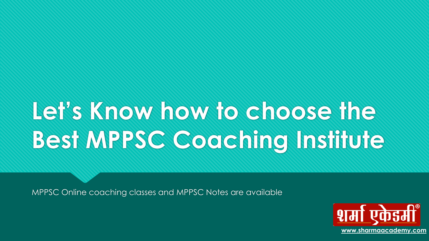# **Let's Know how to choose the Best MPPSC Coaching Institute**

MPPSC Online coaching classes and MPPSC Notes are available

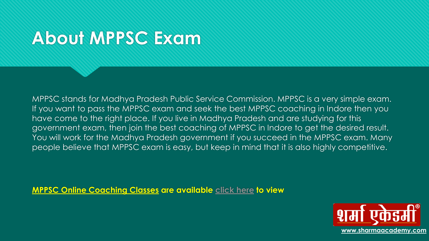### **About MPPSC Exam**

MPPSC stands for Madhya Pradesh Public Service Commission. MPPSC is a very simple exam. If you want to pass the MPPSC exam and seek the best MPPSC coaching in Indore then you have come to the right place. If you live in Madhya Pradesh and are studying for this government exam, then join the best coaching of MPPSC in Indore to get the desired result. You will work for the Madhya Pradesh government if you succeed in the MPPSC exam. Many people believe that MPPSC exam is easy, but keep in mind that it is also highly competitive.

**[MPPSC Online Coaching Classes](https://www.mppsconlinecoachingclasses.com/) are available [click here](https://www.mppsconlinecoachingclasses.com/) to view**

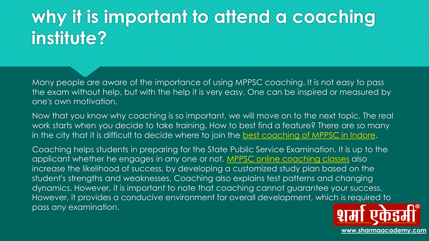## **why it is important to attend a coaching institute?**

Many people are aware of the importance of using MPPSC coaching. It is not easy to pass the exam without help, but with the help it is very easy. One can be inspired or measured by one's own motivation.

Now that you know why coaching is so important, we will move on to the next topic. The real work starts when you decide to take training. How to best find a feature? There are so many in the city that it is difficult to decide where to join the [best coaching of MPPSC in Indore](https://www.sharmaacademy.com/mppsc-coaching-in-indore.php).

Coaching helps students in preparing for the State Public Service Examination. It is up to the applicant whether he engages in any one or not. [MPPSC online coaching classes](https://www.sharmaacademy.com/best-mppsc-online-coaching-classes-in-indore.php) also increase the likelihood of success, by developing a customized study plan based on the student's strengths and weaknesses. Coaching also explains test patterns and changing dynamics. However, it is important to note that coaching cannot guarantee your success. However, it provides a conducive environment for overall development, which is required to pass any examination.

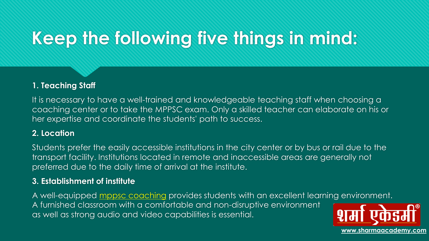# **Keep the following five things in mind:**

#### **1. Teaching Staff**

It is necessary to have a well-trained and knowledgeable teaching staff when choosing a coaching center or to take the MPPSC exam. Only a skilled teacher can elaborate on his or her expertise and coordinate the students' path to success.

#### **2. Location**

Students prefer the easily accessible institutions in the city center or by bus or rail due to the transport facility. Institutions located in remote and inaccessible areas are generally not preferred due to the daily time of arrival at the institute.

#### **3. Establishment of institute**

A well-equipped [mppsc coaching](https://www.sharmaacademy.com/) provides students with an excellent learning environment. A furnished classroom with a comfortable and non-disruptive environment as well as strong audio and video capabilities is essential.

**[www.sharmaacademy.com](http://www.sharmaacademy.com/)**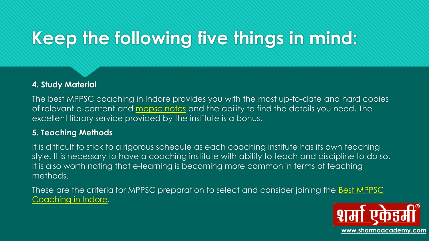# **Keep the following five things in mind:**

#### **4. Study Material**

The best MPPSC coaching in Indore provides you with the most up-to-date and hard copies of relevant e-content and [mppsc notes](https://www.sharmaacademy.com/mppsc-notes.php) and the ability to find the details you need. The excellent library service provided by the institute is a bonus.

#### **5. Teaching Methods**

It is difficult to stick to a rigorous schedule as each coaching institute has its own teaching style. It is necessary to have a coaching institute with ability to teach and discipline to do so. It is also worth noting that e-learning is becoming more common in terms of teaching methods.

These are the criteria for MPPSC preparation to select and consider joining the **Best MPPSC** Coaching in Indore.